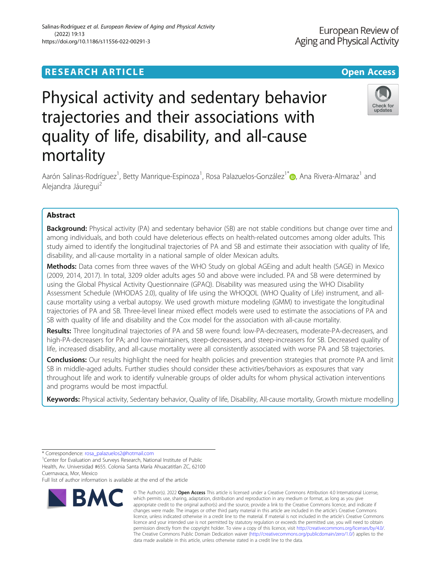# **RESEARCH ARTICLE Example 2014 12:30 The Contract of Contract Contract Open Access**

# Physical activity and sedentary behavior trajectories and their associations with quality of life, disability, and all-cause mortality

Aarón Salinas-Rodríguez<sup>1</sup>[,](http://orcid.org/0000-0002-8978-7641) Betty Manrique-Espinoza<sup>1</sup>, Rosa Palazuelos-González<sup>1\*</sup>. Ana Rivera-Almaraz<sup>1</sup> and Alejandra Jáuregui<sup>2</sup>

## Abstract

**Background:** Physical activity (PA) and sedentary behavior (SB) are not stable conditions but change over time and among individuals, and both could have deleterious effects on health-related outcomes among older adults. This study aimed to identify the longitudinal trajectories of PA and SB and estimate their association with quality of life, disability, and all-cause mortality in a national sample of older Mexican adults.

Methods: Data comes from three waves of the WHO Study on global AGEing and adult health (SAGE) in Mexico (2009, 2014, 2017). In total, 3209 older adults ages 50 and above were included. PA and SB were determined by using the Global Physical Activity Questionnaire (GPAQ). Disability was measured using the WHO Disability Assessment Schedule (WHODAS 2.0), quality of life using the WHOQOL (WHO Quality of Life) instrument, and allcause mortality using a verbal autopsy. We used growth mixture modeling (GMM) to investigate the longitudinal trajectories of PA and SB. Three-level linear mixed effect models were used to estimate the associations of PA and SB with quality of life and disability and the Cox model for the association with all-cause mortality.

Results: Three longitudinal trajectories of PA and SB were found: low-PA-decreasers, moderate-PA-decreasers, and high-PA-decreasers for PA; and low-maintainers, steep-decreasers, and steep-increasers for SB. Decreased quality of life, increased disability, and all-cause mortality were all consistently associated with worse PA and SB trajectories.

Conclusions: Our results highlight the need for health policies and prevention strategies that promote PA and limit SB in middle-aged adults. Further studies should consider these activities/behaviors as exposures that vary throughout life and work to identify vulnerable groups of older adults for whom physical activation interventions and programs would be most impactful.

Keywords: Physical activity, Sedentary behavior, Quality of life, Disability, All-cause mortality, Growth mixture modelling

**BMC** 

Full list of author information is available at the end of the article

which permits use, sharing, adaptation, distribution and reproduction in any medium or format, as long as you give appropriate credit to the original author(s) and the source, provide a link to the Creative Commons licence, and indicate if changes were made. The images or other third party material in this article are included in the article's Creative Commons licence, unless indicated otherwise in a credit line to the material. If material is not included in the article's Creative Commons licence and your intended use is not permitted by statutory regulation or exceeds the permitted use, you will need to obtain permission directly from the copyright holder. To view a copy of this licence, visit [http://creativecommons.org/licenses/by/4.0/.](http://creativecommons.org/licenses/by/4.0/) The Creative Commons Public Domain Dedication waiver [\(http://creativecommons.org/publicdomain/zero/1.0/](http://creativecommons.org/publicdomain/zero/1.0/)) applies to the data made available in this article, unless otherwise stated in a credit line to the data.

© The Author(s), 2022 **Open Access** This article is licensed under a Creative Commons Attribution 4.0 International License,





<sup>\*</sup> Correspondence: [rosa\\_palazuelos2@hotmail.com](mailto:rosa_palazuelos2@hotmail.com) <sup>1</sup>

<sup>&</sup>lt;sup>1</sup> Center for Evaluation and Surveys Research, National Institute of Public Health, Av. Universidad #655. Colonia Santa María Ahuacatitlan ZC, 62100 Cuernavaca, Mor, Mexico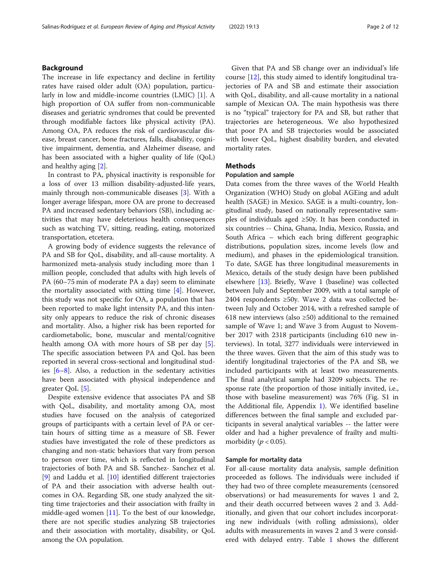## Background

The increase in life expectancy and decline in fertility rates have raised older adult (OA) population, particularly in low and middle-income countries (LMIC) [[1\]](#page-10-0). A high proportion of OA suffer from non-communicable diseases and geriatric syndromes that could be prevented through modifiable factors like physical activity (PA). Among OA, PA reduces the risk of cardiovascular disease, breast cancer, bone fractures, falls, disability, cognitive impairment, dementia, and Alzheimer disease, and has been associated with a higher quality of life (QoL) and healthy aging [\[2\]](#page-10-0).

In contrast to PA, physical inactivity is responsible for a loss of over 13 million disability-adjusted-life years, mainly through non-communicable diseases [\[3](#page-10-0)]. With a longer average lifespan, more OA are prone to decreased PA and increased sedentary behaviors (SB), including activities that may have deleterious health consequences such as watching TV, sitting, reading, eating, motorized transportation, etcetera.

A growing body of evidence suggests the relevance of PA and SB for QoL, disability, and all-cause mortality. A harmonized meta-analysis study including more than 1 million people, concluded that adults with high levels of PA (60–75 min of moderate PA a day) seem to eliminate the mortality associated with sitting time [[4](#page-10-0)]. However, this study was not specific for OA, a population that has been reported to make light intensity PA, and this intensity only appears to reduce the risk of chronic diseases and mortality. Also, a higher risk has been reported for cardiometabolic, bone, muscular and mental/cognitive health among OA with more hours of SB per day [\[5](#page-10-0)]. The specific association between PA and QoL has been reported in several cross-sectional and longitudinal studies  $[6-8]$  $[6-8]$  $[6-8]$  $[6-8]$  $[6-8]$ . Also, a reduction in the sedentary activities have been associated with physical independence and greater QoL [\[5](#page-10-0)].

Despite extensive evidence that associates PA and SB with QoL, disability, and mortality among OA, most studies have focused on the analysis of categorized groups of participants with a certain level of PA or certain hours of sitting time as a measure of SB. Fewer studies have investigated the role of these predictors as changing and non-static behaviors that vary from person to person over time, which is reflected in longitudinal trajectories of both PA and SB. Sanchez- Sanchez et al. [[9\]](#page-10-0) and Laddu et al. [[10\]](#page-10-0) identified different trajectories of PA and their association with adverse health outcomes in OA. Regarding SB, one study analyzed the sitting time trajectories and their association with frailty in middle-aged women [[11\]](#page-10-0). To the best of our knowledge, there are not specific studies analyzing SB trajectories and their association with mortality, disability, or QoL among the OA population.

Given that PA and SB change over an individual's life course [[12](#page-10-0)], this study aimed to identify longitudinal trajectories of PA and SB and estimate their association with QoL, disability, and all-cause mortality in a national sample of Mexican OA. The main hypothesis was there is no "typical" trajectory for PA and SB, but rather that trajectories are heterogeneous. We also hypothesized that poor PA and SB trajectories would be associated with lower QoL, highest disability burden, and elevated mortality rates.

## Methods

## Population and sample

Data comes from the three waves of the World Health Organization (WHO) Study on global AGEing and adult health (SAGE) in Mexico. SAGE is a multi-country, longitudinal study, based on nationally representative samples of individuals aged ≥50y. It has been conducted in six countries -- China, Ghana, India, Mexico, Russia, and South Africa – which each bring different geographic distributions, population sizes, income levels (low and medium), and phases in the epidemiological transition. To date, SAGE has three longitudinal measurements in Mexico, details of the study design have been published elsewhere [[13\]](#page-10-0). Briefly, Wave 1 (baseline) was collected between July and September 2009, with a total sample of 2404 respondents ≥50y. Wave 2 data was collected between July and October 2014, with a refreshed sample of 618 new interviews (also  $\geq$ 50) additional to the remained sample of Wave 1; and Wave 3 from August to November 2017 with 2318 participants (including 610 new interviews). In total, 3277 individuals were interviewed in the three waves. Given that the aim of this study was to identify longitudinal trajectories of the PA and SB, we included participants with at least two measurements. The final analytical sample had 3209 subjects. The response rate (the proportion of those initially invited, i.e., those with baseline measurement) was 76% (Fig. S1 in the Additional file, Appendix [1\)](#page-9-0). We identified baseline differences between the final sample and excluded participants in several analytical variables -- the latter were older and had a higher prevalence of frailty and multimorbidity ( $p < 0.05$ ).

## Sample for mortality data

For all-cause mortality data analysis, sample definition proceeded as follows. The individuals were included if they had two of three complete measurements (censored observations) or had measurements for waves 1 and 2, and their death occurred between waves 2 and 3. Additionally, and given that our cohort includes incorporating new individuals (with rolling admissions), older adults with measurements in waves 2 and 3 were considered with delayed entry. Table [1](#page-2-0) shows the different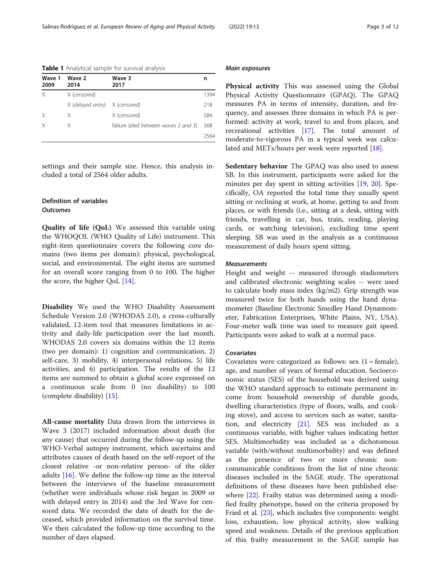| Wave 1<br>2009 | Wave 2<br>2014                 | Wave 3<br>2017                       | n    |
|----------------|--------------------------------|--------------------------------------|------|
| X              | X (censored)                   |                                      | 1394 |
|                | X (delayed entry) X (censored) |                                      | 218  |
| X              | X                              | X (censored)                         | 584  |
| X              | X                              | failure (died between waves 2 and 3) | 368  |
|                |                                |                                      | 2564 |

<span id="page-2-0"></span>Table 1 Analytical sample for survival analysis

settings and their sample size. Hence, this analysis included a total of 2564 older adults.

## Definition of variables **Outcomes**

Quality of life (QoL) We assessed this variable using the WHOQOL (WHO Quality of Life) instrument. This eight-item questionnaire covers the following core domains (two items per domain): physical, psychological, social, and environmental. The eight items are summed for an overall score ranging from 0 to 100. The higher the score, the higher QoL [\[14\]](#page-10-0).

Disability We used the WHO Disability Assessment Schedule Version 2.0 (WHODAS 2.0), a cross-culturally validated, 12-item tool that measures limitations in activity and daily-life participation over the last month. WHODAS 2.0 covers six domains within the 12 items (two per domain): 1) cognition and communication, 2) self-care, 3) mobility, 4) interpersonal relations, 5) life activities, and 6) participation. The results of the 12 items are summed to obtain a global score expressed on a continuous scale from 0 (no disability) to 100 (complete disability) [[15\]](#page-10-0).

All-cause mortality Data drawn from the interviews in Wave 3 (2017) included information about death (for any cause) that occurred during the follow-up using the WHO-Verbal autopsy instrument, which ascertains and attributes causes of death based on the self-report of the closest relative -or non-relative person- of the older adults [[16](#page-10-0)]. We define the follow-up time as the interval between the interviews of the baseline measurement (whether were individuals whose risk began in 2009 or with delayed entry in 2014) and the 3rd Wave for censored data. We recorded the date of death for the deceased, which provided information on the survival time. We then calculated the follow-up time according to the number of days elapsed.

#### Main exposures

Physical activity This was assessed using the Global Physical Activity Questionnaire (GPAQ). The GPAQ measures PA in terms of intensity, duration, and frequency, and assesses three domains in which PA is performed: activity at work, travel to and from places, and recreational activities [[17\]](#page-10-0). The total amount of moderate-to-vigorous PA in a typical week was calcu-lated and METs/hours per week were reported [\[18\]](#page-10-0).

Sedentary behavior The GPAQ was also used to assess SB. In this instrument, participants were asked for the minutes per day spent in sitting activities [[19](#page-10-0), [20](#page-10-0)]. Specifically, OA reported the total time they usually spent sitting or reclining at work, at home, getting to and from places, or with friends (i.e., sitting at a desk, sitting with friends, travelling in car, bus, train, reading, playing cards, or watching television), excluding time spent sleeping. SB was used in the analysis as a continuous measurement of daily hours spent sitting.

## Measurements

Height and weight -- measured through stadiometers and calibrated electronic weighting scales -- were used to calculate body mass index (kg/m2). Grip strength was measured twice for both hands using the hand dynamometer (Baseline Electronic Smedley Hand Dynamometer, Fabrication Enterprises, White Plains, NY, USA). Four-meter walk time was used to measure gait speed. Participants were asked to walk at a normal pace.

#### Covariates

Covariates were categorized as follows: sex  $(1 = \text{female})$ , age, and number of years of formal education. Socioeconomic status (SES) of the household was derived using the WHO standard approach to estimate permanent income from household ownership of durable goods, dwelling characteristics (type of floors, walls, and cooking stove), and access to services such as water, sanitation, and electricity [\[21\]](#page-10-0). SES was included as a continuous variable, with higher values indicating better SES. Multimorbidity was included as a dichotomous variable (with/without multimorbidity) and was defined as the presence of two or more chronic noncommunicable conditions from the list of nine chronic diseases included in the SAGE study. The operational definitions of these diseases have been published elsewhere [\[22\]](#page-10-0). Frailty status was determined using a modified frailty phenotype, based on the criteria proposed by Fried et al. [\[23](#page-10-0)], which includes five components: weight loss, exhaustion, low physical activity, slow walking speed and weakness. Details of the previous application of this frailty measurement in the SAGE sample has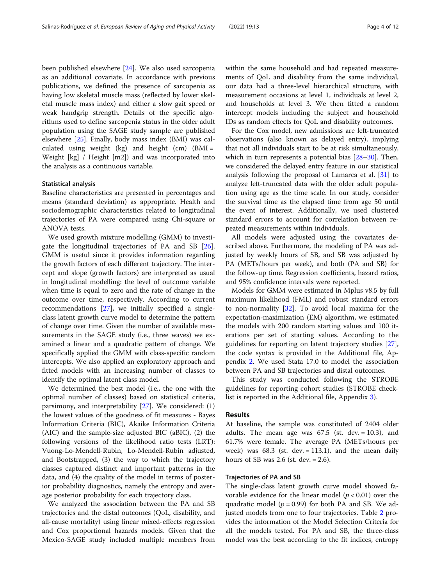been published elsewhere [\[24\]](#page-10-0). We also used sarcopenia as an additional covariate. In accordance with previous publications, we defined the presence of sarcopenia as having low skeletal muscle mass (reflected by lower skeletal muscle mass index) and either a slow gait speed or weak handgrip strength. Details of the specific algorithms used to define sarcopenia status in the older adult population using the SAGE study sample are published elsewhere [\[25](#page-10-0)]. Finally, body mass index (BMI) was calculated using weight (kg) and height (cm) (BMI = Weight [kg] / Height [m2]) and was incorporated into the analysis as a continuous variable.

## Statistical analysis

Baseline characteristics are presented in percentages and means (standard deviation) as appropriate. Health and sociodemographic characteristics related to longitudinal trajectories of PA were compared using Chi-square or ANOVA tests.

We used growth mixture modelling (GMM) to investigate the longitudinal trajectories of PA and SB [\[26](#page-10-0)]. GMM is useful since it provides information regarding the growth factors of each different trajectory. The intercept and slope (growth factors) are interpreted as usual in longitudinal modelling: the level of outcome variable when time is equal to zero and the rate of change in the outcome over time, respectively. According to current recommendations [[27\]](#page-10-0), we initially specified a singleclass latent growth curve model to determine the pattern of change over time. Given the number of available measurements in the SAGE study (i.e., three waves) we examined a linear and a quadratic pattern of change. We specifically applied the GMM with class-specific random intercepts. We also applied an exploratory approach and fitted models with an increasing number of classes to identify the optimal latent class model.

We determined the best model (i.e., the one with the optimal number of classes) based on statistical criteria, parsimony, and interpretability [[27\]](#page-10-0). We considered: (1) the lowest values of the goodness of fit measures - Bayes Information Criteria (BIC), Akaike Information Criteria (AIC) and the sample-size adjusted BIC (aBIC), (2) the following versions of the likelihood ratio tests (LRT): Vuong-Lo-Mendell-Rubin, Lo-Mendell-Rubin adjusted, and Bootstrapped, (3) the way to which the trajectory classes captured distinct and important patterns in the data, and (4) the quality of the model in terms of posterior probability diagnostics, namely the entropy and average posterior probability for each trajectory class.

We analyzed the association between the PA and SB trajectories and the distal outcomes (QoL, disability, and all-cause mortality) using linear mixed-effects regression and Cox proportional hazards models. Given that the Mexico-SAGE study included multiple members from within the same household and had repeated measurements of QoL and disability from the same individual, our data had a three-level hierarchical structure, with measurement occasions at level 1, individuals at level 2, and households at level 3. We then fitted a random intercept models including the subject and household IDs as random effects for QoL and disability outcomes.

For the Cox model, new admissions are left-truncated observations (also known as delayed entry), implying that not all individuals start to be at risk simultaneously, which in turn represents a potential bias [\[28](#page-10-0)–[30\]](#page-11-0). Then, we considered the delayed entry feature in our statistical analysis following the proposal of Lamarca et al. [[31\]](#page-11-0) to analyze left-truncated data with the older adult population using age as the time scale. In our study, consider the survival time as the elapsed time from age 50 until the event of interest. Additionally, we used clustered standard errors to account for correlation between repeated measurements within individuals.

All models were adjusted using the covariates described above. Furthermore, the modeling of PA was adjusted by weekly hours of SB, and SB was adjusted by PA (METs/hours per week), and both (PA and SB) for the follow-up time. Regression coefficients, hazard ratios, and 95% confidence intervals were reported.

Models for GMM were estimated in Mplus v8.5 by full maximum likelihood (FML) and robust standard errors to non-normality  $[32]$  $[32]$ . To avoid local maxima for the expectation-maximization (EM) algorithm, we estimated the models with 200 random starting values and 100 iterations per set of starting values. According to the guidelines for reporting on latent trajectory studies [\[27](#page-10-0)], the code syntax is provided in the Additional file, Appendix [2](#page-9-0). We used Stata 17.0 to model the association between PA and SB trajectories and distal outcomes.

This study was conducted following the STROBE guidelines for reporting cohort studies (STROBE checklist is reported in the Additional file, Appendix [3\)](#page-9-0).

## Results

At baseline, the sample was constituted of 2404 older adults. The mean age was  $67.5$  (st. dev. = 10.3), and 61.7% were female. The average PA (METs/hours per week) was  $68.3$  (st. dev. = 113.1), and the mean daily hours of SB was 2.6 (st. dev.  $= 2.6$ ).

## Trajectories of PA and SB

The single-class latent growth curve model showed favorable evidence for the linear model ( $p < 0.01$ ) over the quadratic model ( $p = 0.99$ ) for both PA and SB. We adjusted models from one to four trajectories. Table [2](#page-4-0) provides the information of the Model Selection Criteria for all the models tested. For PA and SB, the three-class model was the best according to the fit indices, entropy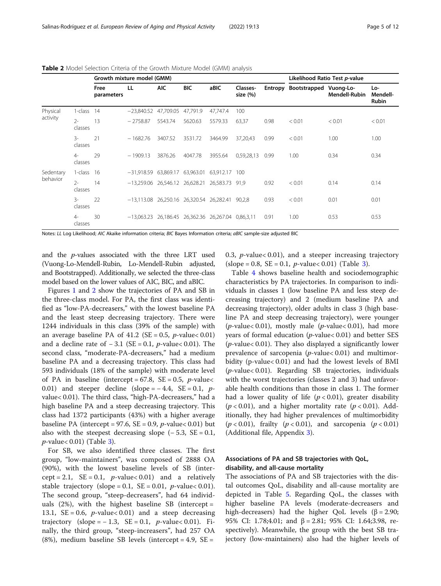|                       |                  | Growth mixture model (GMM) |                                                      |            |          |          |                      | Likelihood Ratio Test p-value |                                |                      |                          |
|-----------------------|------------------|----------------------------|------------------------------------------------------|------------|----------|----------|----------------------|-------------------------------|--------------------------------|----------------------|--------------------------|
|                       |                  | Free<br>parameters         | LL                                                   | <b>AIC</b> | BIC      | aBIC     | Classes-<br>size (%) |                               | Entropy Bootstrapped Vuong-Lo- | <b>Mendell-Rubin</b> | Lo-<br>Mendell-<br>Rubin |
| Physical<br>activity  | 1-class          | 14                         | $-23,840.52$ 47,709.05                               |            | 47,791.9 | 47,747.4 | 100                  |                               |                                |                      |                          |
|                       | $2 -$<br>classes | 13                         | $-2758.87$                                           | 5543.74    | 5620.63  | 5579.33  | 63,37                | 0.98                          | < 0.01                         | < 0.01               | < 0.01                   |
|                       | $3 -$<br>classes | 21                         | $-1682.76$                                           | 3407.52    | 3531.72  | 3464.99  | 37,20,43             | 0.99                          | < 0.01                         | 1.00                 | 1.00                     |
|                       | $4-$<br>classes  | 29                         | $-1909.13$                                           | 3876.26    | 4047.78  | 3955.64  | 0,59,28,13           | 0.99                          | 1.00                           | 0.34                 | 0.34                     |
| Sedentary<br>behavior | 1-class 16       |                            | $-31,918.59$ 63,869.17 63,963.01 63,912.17 100       |            |          |          |                      |                               |                                |                      |                          |
|                       | $2 -$<br>classes | 14                         | $-13,259.06$ 26,546.12 26,628.21 26,583.73 91,9      |            |          |          |                      | 0.92                          | < 0.01                         | 0.14                 | 0.14                     |
|                       | $3-$<br>classes  | 22                         | $-13,113.08$ 26,250.16 26,320.54 26,282.41           |            |          |          | 90.2.8               | 0.93                          | < 0.01                         | 0.01                 | 0.01                     |
|                       | $4-$<br>classes  | 30                         | $-13,063.23$ 26,186.45 26,362.36 26,267.04 0,86,3,11 |            |          |          |                      | 0.91                          | 1.00                           | 0.53                 | 0.53                     |

<span id="page-4-0"></span>Table 2 Model Selection Criteria of the Growth Mixture Model (GMM) analysis

Notes: LL Log Likelihood; AIC Akaike information criteria; BIC Bayes Information criteria; aBIC sample-size adjusted BIC

and the  $p$ -values associated with the three LRT used (Vuong-Lo-Mendell-Rubin, Lo-Mendell-Rubin adjusted, and Bootstrapped). Additionally, we selected the three-class model based on the lower values of AIC, BIC, and aBIC.

Figures [1](#page-5-0) and [2](#page-6-0) show the trajectories of PA and SB in the three-class model. For PA, the first class was identified as "low-PA-decreasers," with the lowest baseline PA and the least steep decreasing trajectory. There were 1244 individuals in this class (39% of the sample) with an average baseline PA of 41.2 (SE = 0.5,  $p$ -value < 0.01) and a decline rate of  $-3.1$  (SE = 0.1, *p*-value < 0.01). The second class, "moderate-PA-decreasers," had a medium baseline PA and a decreasing trajectory. This class had 593 individuals (18% of the sample) with moderate level of PA in baseline (intercept =  $67.8$ , SE = 0.5, *p*-value< 0.01) and steeper decline (slope =  $-4.4$ , SE = 0.1, pvalue< 0.01). The third class, "high-PA-decreasers," had a high baseline PA and a steep decreasing trajectory. This class had 1372 participants (43%) with a higher average baseline PA (intercept = 97.6,  $SE = 0.9$ ,  $p$ -value< 0.01) but also with the steepest decreasing slope  $(-5.3, SE = 0.1,$  $p$ -value $<$  0.01) (Table [3\)](#page-7-0).

For SB, we also identified three classes. The first group, "low-maintainers", was composed of 2888 OA (90%), with the lowest baseline levels of SB (intercept = 2.1,  $SE = 0.1$ , *p*-value < 0.01) and a relatively stable trajectory (slope = 0.1,  $SE = 0.01$ , p-value < 0.01). The second group, "steep-decreasers", had 64 individuals  $(2%)$ , with the highest baseline SB (intercept = 13.1,  $SE = 0.6$ , *p*-value< 0.01) and a steep decreasing trajectory (slope =  $-1.3$ , SE = 0.1, p-value < 0.01). Finally, the third group, "steep-increasers", had 257 OA (8%), medium baseline SB levels (intercept = 4.9,  $SE =$ 

0.3,  $p$ -value< 0.01), and a steeper increasing trajectory  $(slope = 0.8, SE = 0.1, p-value < 0.01)$  (Table [3](#page-7-0)).

Table [4](#page-7-0) shows baseline health and sociodemographic characteristics by PA trajectories. In comparison to individuals in classes 1 (low baseline PA and less steep decreasing trajectory) and 2 (medium baseline PA and decreasing trajectory), older adults in class 3 (high baseline PA and steep decreasing trajectory), were younger (*p*-value< 0.01), mostly male (*p*-value< 0.01), had more years of formal education  $(p$ -value $< 0.01)$  and better SES  $(p$ -value< 0.01). They also displayed a significantly lower prevalence of sarcopenia ( $p$ -value $< 0.01$ ) and multimorbidity (p-value< 0.01) and had the lowest levels of BMI (p-value< 0.01). Regarding SB trajectories, individuals with the worst trajectories (classes 2 and 3) had unfavorable health conditions than those in class 1. The former had a lower quality of life  $(p < 0.01)$ , greater disability  $(p < 0.01)$ , and a higher mortality rate  $(p < 0.01)$ . Additionally, they had higher prevalences of multimorbidity  $(p < 0.01)$ , frailty  $(p < 0.01)$ , and sarcopenia  $(p < 0.01)$ (Additional file, Appendix [3](#page-9-0)).

## Associations of PA and SB trajectories with QoL, disability, and all-cause mortality

The associations of PA and SB trajectories with the distal outcomes QoL, disability and all-cause mortality are depicted in Table [5.](#page-8-0) Regarding QoL, the classes with higher baseline PA levels (moderate-decreasers and high-decreasers) had the higher QoL levels ( $β = 2.90$ ; 95% CI: 1.78;4.01; and β = 2.81; 95% CI: 1.64;3.98, respectively). Meanwhile, the group with the best SB trajectory (low-maintainers) also had the higher levels of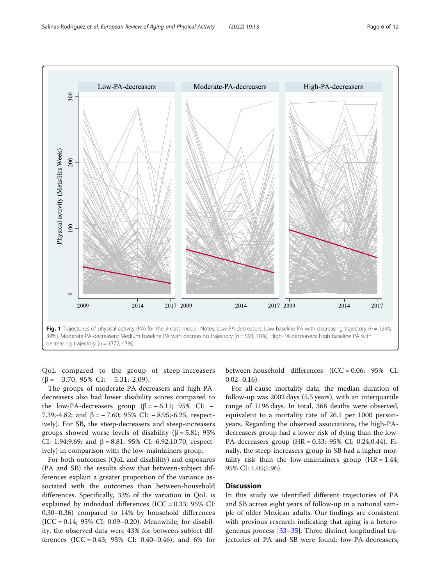

<span id="page-5-0"></span>

QoL compared to the group of steep-increasers  $(\beta = -3.70; 95\% \text{ CI: } -5.31; -2.09).$ 

The groups of moderate-PA-decreasers and high-PAdecreasers also had lower disability scores compared to the low-PA-decreasers group  $(β = -6.11; 95%$  CI: – 7.39;-4.82; and  $β = -7.60$ ; 95% CI:  $-8.95$ ;-6.25, respectively). For SB, the steep-decreasers and steep-increasers groups showed worse levels of disability (β = 5.81; 95% CI: 1.94;9.69; and  $β = 8.81$ ; 95% CI: 6.92;10.70, respectively) in comparison with the low-maintainers group.

For both outcomes (QoL and disability) and exposures (PA and SB) the results show that between-subject differences explain a greater proportion of the variance associated with the outcomes than between-household differences. Specifically, 33% of the variation in QoL is explained by individual differences (ICC =  $0.33$ ;  $95\%$  CI: 0.30–0.36) compared to 14% by household differences (ICC = 0.14; 95% CI: 0.09–0.20). Meanwhile, for disability, the observed data were 43% for between-subject differences (ICC = 0.43;  $95\%$  CI: 0.40–0.46), and 6% for

between-household differences (ICC = 0.06; 95% CI:  $0.02-0.16$ .

For all-cause mortality data, the median duration of follow-up was 2002 days (5.5 years), with an interquartile range of 1196 days. In total, 368 deaths were observed, equivalent to a mortality rate of 26.1 per 1000 personyears. Regarding the observed associations, the high-PAdecreasers group had a lower risk of dying than the low-PA-decreasers group (HR = 0.33; 95% CI: 0.24;0.44). Finally, the steep-increasers group in SB had a higher mortality risk than the low-maintainers group  $(HR = 1.44;$ 95% CI: 1.05;1.96).

## **Discussion**

In this study we identified different trajectories of PA and SB across eight years of follow-up in a national sample of older Mexican adults. Our findings are consistent with previous research indicating that aging is a heterogeneous process [\[33](#page-11-0)–[35\]](#page-11-0). Three distinct longitudinal trajectories of PA and SB were found: low-PA-decreasers,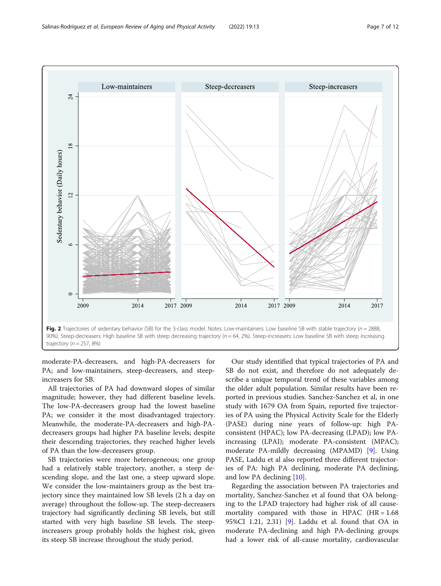<span id="page-6-0"></span>

moderate-PA-decreasers, and high-PA-decreasers for PA; and low-maintainers, steep-decreasers, and steepincreasers for SB.

All trajectories of PA had downward slopes of similar magnitude; however, they had different baseline levels. The low-PA-decreasers group had the lowest baseline PA; we consider it the most disadvantaged trajectory. Meanwhile, the moderate-PA-decreasers and high-PAdecreasers groups had higher PA baseline levels; despite their descending trajectories, they reached higher levels of PA than the low-decreasers group.

SB trajectories were more heterogeneous; one group had a relatively stable trajectory, another, a steep descending slope, and the last one, a steep upward slope. We consider the low-maintainers group as the best trajectory since they maintained low SB levels (2 h a day on average) throughout the follow-up. The steep-decreasers trajectory had significantly declining SB levels, but still started with very high baseline SB levels. The steepincreasers group probably holds the highest risk, given its steep SB increase throughout the study period.

Our study identified that typical trajectories of PA and SB do not exist, and therefore do not adequately describe a unique temporal trend of these variables among the older adult population. Similar results have been reported in previous studies. Sanchez-Sanchez et al, in one study with 1679 OA from Spain, reported five trajectories of PA using the Physical Activity Scale for the Elderly (PASE) during nine years of follow-up: high PAconsistent (HPAC); low PA-decreasing (LPAD); low PAincreasing (LPAI); moderate PA-consistent (MPAC); moderate PA-mildly decreasing (MPAMD) [[9\]](#page-10-0). Using PASE, Laddu et al also reported three different trajectories of PA: high PA declining, moderate PA declining, and low PA declining [[10\]](#page-10-0).

Regarding the association between PA trajectories and mortality, Sanchez-Sanchez et al found that OA belonging to the LPAD trajectory had higher risk of all causemortality compared with those in HPAC  $(HR = 1.68)$ 95%CI 1.21, 2.31) [[9](#page-10-0)]. Laddu et al. found that OA in moderate PA-declining and high PA-declining groups had a lower risk of all-cause mortality, cardiovascular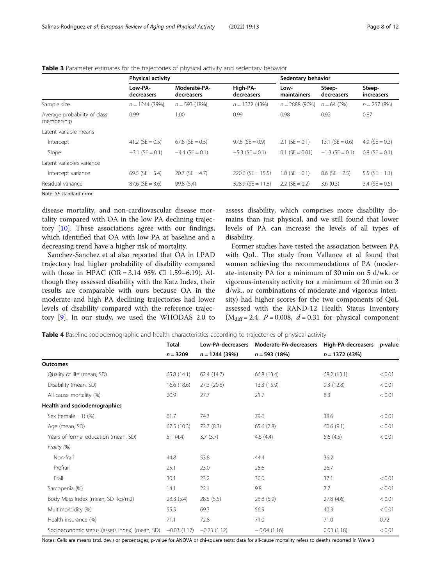|                                            | <b>Physical activity</b> |                            | Sedentary behavior     |                     |                      |                      |
|--------------------------------------------|--------------------------|----------------------------|------------------------|---------------------|----------------------|----------------------|
|                                            | Low-PA-<br>decreasers    | Moderate-PA-<br>decreasers | High-PA-<br>decreasers | Low-<br>maintainers | Steep-<br>decreasers | Steep-<br>increasers |
| Sample size                                | $n = 1244(39%)$          | $n = 593(18%)$             | $n = 1372(43%)$        | $n = 2888(90\%)$    | $n = 64(2%)$         | $n = 257(8%)$        |
| Average probability of class<br>membership | 0.99                     | 1.00                       | 0.99                   | 0.98                | 0.92                 | 0.87                 |
| Latent variable means                      |                          |                            |                        |                     |                      |                      |
| Intercept                                  | 41.2 (SE = $0.5$ )       | $67.8$ (SE = 0.5)          | $97.6$ (SE = 0.9)      | $2.1$ (SE = 0.1)    | $13.1$ (SE = 0.6)    | 4.9 ( $SE = 0.3$ )   |
| Slope                                      | $-3.1$ (SE = 0.1)        | $-4.4$ (SE = 0.1)          | $-5.3$ (SE = 0.1)      | $0.1$ (SE = 0.01)   | $-1.3$ (SE = 0.1)    | $0.8$ (SE = 0.1)     |
| Latent variables variance                  |                          |                            |                        |                     |                      |                      |
| Intercept variance                         | 69.5 (SE = 5.4)          | $20.7$ (SE = 4.7)          | $220.6$ (SE = 15.5)    | $1.0$ (SE = 0.1)    | $8.6$ (SE = 2.5)     | 5.5 ( $SE = 1.1$ )   |
| Residual variance                          | $87.6$ (SE = 3.6)        | 99.8 (5.4)                 | $328.9$ (SE = 11.8)    | 2.2 (SE = $0.2$ )   | 3.6(0.3)             | $3.4$ (SE = 0.5)     |

<span id="page-7-0"></span>Table 3 Parameter estimates for the trajectories of physical activity and sedentary behavior

Note: SE standard error

disease mortality, and non-cardiovascular disease mortality compared with OA in the low PA declining trajectory [[10](#page-10-0)]. These associations agree with our findings, which identified that OA with low PA at baseline and a decreasing trend have a higher risk of mortality.

Sanchez-Sanchez et al also reported that OA in LPAD trajectory had higher probability of disability compared with those in HPAC (OR = 3.14 95% CI 1.59–6.19). Although they assessed disability with the Katz Index, their results are comparable with ours because OA in the moderate and high PA declining trajectories had lower levels of disability compared with the reference trajectory [\[9](#page-10-0)]. In our study, we used the WHODAS 2.0 to

assess disability, which comprises more disability domains than just physical, and we still found that lower levels of PA can increase the levels of all types of disability.

Former studies have tested the association between PA with QoL. The study from Vallance et al found that women achieving the recommendations of PA (moderate-intensity PA for a minimum of 30 min on 5 d/wk. or vigorous-intensity activity for a minimum of 20 min on 3 d/wk., or combinations of moderate and vigorous intensity) had higher scores for the two components of QoL assessed with the RAND-12 Health Status Inventory  $(M<sub>diff</sub> = 2.4, P = 0.008, d = 0.31$  for physical component

|  |  | <b>Table 4</b> Baseline sociodemographic and health characteristics according to trajectories of physical activity |  |  |  |
|--|--|--------------------------------------------------------------------------------------------------------------------|--|--|--|
|  |  |                                                                                                                    |  |  |  |

|                                                | <b>Total</b>  | Low-PA-decreasers | Moderate-PA-decreasers High-PA-decreasers p-value |                 |        |
|------------------------------------------------|---------------|-------------------|---------------------------------------------------|-----------------|--------|
|                                                | $n = 3209$    | $n = 1244$ (39%)  | $n = 593(18%)$                                    | $n = 1372(43%)$ |        |
| <b>Outcomes</b>                                |               |                   |                                                   |                 |        |
| Quality of life (mean, SD)                     | 65.8(14.1)    | 62.4(14.7)        | 66.8 (13.4)                                       | 68.2 (13.1)     | < 0.01 |
| Disability (mean, SD)                          | 16.6(18.6)    | 27.3(20.8)        | 13.3 (15.9)                                       | 9.3(12.8)       | < 0.01 |
| All-cause mortality (%)                        | 20.9          | 27.7              | 21.7                                              | 8.3             | < 0.01 |
| Health and sociodemographics                   |               |                   |                                                   |                 |        |
| Sex (female = $1)$ (%)                         | 61.7          | 74.3              | 79.6                                              | 38.6            | < 0.01 |
| Age (mean, SD)                                 | 67.5(10.3)    | 72.7 (8.3)        | 65.6(7.8)                                         | 60.6(9.1)       | < 0.01 |
| Years of formal education (mean, SD)           | 5.1(4.4)      | 3.7(3.7)          | 4.6(4.4)                                          | 5.6 $(4.5)$     | < 0.01 |
| Frailty (%)                                    |               |                   |                                                   |                 |        |
| Non-frail                                      | 44.8          | 53.8              | 44.4                                              | 36.2            |        |
| Prefrail                                       | 25.1          | 23.0              | 25.6                                              | 26.7            |        |
| Frail                                          | 30.1          | 23.2              | 30.0                                              | 37.1            | < 0.01 |
| Sarcopenia (%)                                 | 14.1          | 22.1              | 9.8                                               | 7.7             | < 0.01 |
| Body Mass Index (mean, SD -kg/m2)              | 28.3(5.4)     | 28.5(5.5)         | 28.8 (5.9)                                        | 27.8 (4.6)      | < 0.01 |
| Multimorbidity (%)                             | 55.5          | 69.3              | 56.9                                              | 40.3            | < 0.01 |
| Health insurance (%)                           | 71.1          | 72.8              | 71.0                                              | 71.0            | 0.72   |
| Socioeconomic status (assets index) (mean, SD) | $-0.03(1.17)$ | $-0.23(1.12)$     | $-0.04(1.16)$                                     | 0.03(1.18)      | < 0.01 |

Notes: Cells are means (std. dev.) or percentages; p-value for ANOVA or chi-square tests; data for all-cause mortality refers to deaths reported in Wave 3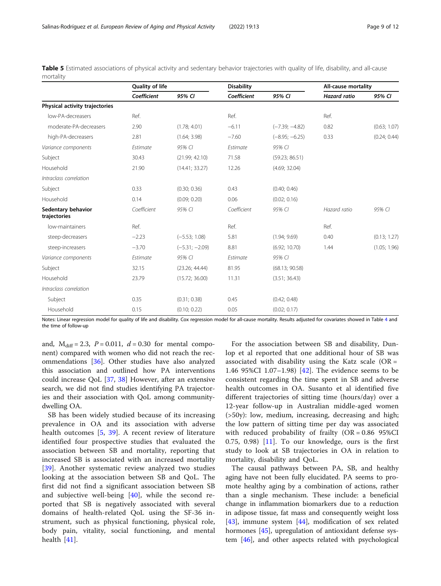|                                    | Quality of life |                  | <b>Disability</b> |                  | All-cause mortality |              |
|------------------------------------|-----------------|------------------|-------------------|------------------|---------------------|--------------|
|                                    | Coefficient     | 95% CI           | Coefficient       | 95% CI           | <b>Hazard</b> ratio | 95% CI       |
| Physical activity trajectories     |                 |                  |                   |                  |                     |              |
| low-PA-decreasers                  | Ref.            |                  | Ref.              |                  | Ref.                |              |
| moderate-PA-decreasers             | 2.90            | (1.78; 4.01)     | $-6.11$           | $(-7.39; -4.82)$ | 0.82                | (0.63; 1.07) |
| high-PA-decreasers                 | 2.81            | (1.64; 3.98)     | $-7.60$           | $(-8.95; -6.25)$ | 0.33                | (0.24; 0.44) |
| Variance components                | Estimate        | 95% CI           | Estimate          | 95% CI           |                     |              |
| Subject                            | 30.43           | (21.99; 42.10)   | 71.58             | (59.23; 86.51)   |                     |              |
| Household                          | 21.90           | (14.41; 33.27)   | 12.26             | (4.69; 32.04)    |                     |              |
| Intraclass correlation             |                 |                  |                   |                  |                     |              |
| Subject                            | 0.33            | (0.30; 0.36)     | 0.43              | (0.40; 0.46)     |                     |              |
| Household                          | 0.14            | (0.09; 0.20)     | 0.06              | (0.02; 0.16)     |                     |              |
| Sedentary behavior<br>trajectories | Coefficient     | 95% CI           | Coefficient       | 95% CI           | Hazard ratio        | 95% CI       |
| low-maintainers                    | Ref.            |                  | Ref.              |                  | Ref.                |              |
| steep-decreasers                   | $-2.23$         | $(-5.53; 1.08)$  | 5.81              | (1.94; 9.69)     | 0.40                | (0.13; 1.27) |
| steep-increasers                   | $-3.70$         | $(-5.31; -2.09)$ | 8.81              | (6.92; 10.70)    | 1.44                | (1.05; 1.96) |
| Variance components                | Estimate        | 95% CI           | <b>Fstimate</b>   | 95% CI           |                     |              |
| Subject                            | 32.15           | (23.26; 44.44)   | 81.95             | (68.13; 90.58)   |                     |              |
| Household                          | 23.79           | (15.72; 36.00)   | 11.31             | (3.51; 36.43)    |                     |              |
| Intraclass correlation             |                 |                  |                   |                  |                     |              |
| Subject                            | 0.35            | (0.31; 0.38)     | 0.45              | (0.42; 0.48)     |                     |              |
| Household                          | 0.15            | (0.10; 0.22)     | 0.05              | (0.02; 0.17)     |                     |              |

<span id="page-8-0"></span>Table 5 Estimated associations of physical activity and sedentary behavior trajectories with quality of life, disability, and all-cause mortality

Notes: Linear regression model for quality of life and disability. Cox regression model for all-cause mortality. Results adjusted for covariates showed in Table [4](#page-7-0) and the time of follow-up

and,  $M_{\text{diff}} = 2.3$ ,  $P = 0.011$ ,  $d = 0.30$  for mental component) compared with women who did not reach the recommendations [\[36](#page-11-0)]. Other studies have also analyzed this association and outlined how PA interventions could increase QoL [\[37,](#page-11-0) [38](#page-11-0)] However, after an extensive search, we did not find studies identifying PA trajectories and their association with QoL among communitydwelling OA.

SB has been widely studied because of its increasing prevalence in OA and its association with adverse health outcomes [[5,](#page-10-0) [39](#page-11-0)]. A recent review of literature identified four prospective studies that evaluated the association between SB and mortality, reporting that increased SB is associated with an increased mortality [[39\]](#page-11-0). Another systematic review analyzed two studies looking at the association between SB and QoL. The first did not find a significant association between SB and subjective well-being [\[40](#page-11-0)], while the second reported that SB is negatively associated with several domains of health-related QoL using the SF-36 instrument, such as physical functioning, physical role, body pain, vitality, social functioning, and mental health [[41\]](#page-11-0).

For the association between SB and disability, Dunlop et al reported that one additional hour of SB was associated with disability using the Katz scale ( $OR =$ 1.46 95%CI 1.07–1.98) [[42\]](#page-11-0). The evidence seems to be consistent regarding the time spent in SB and adverse health outcomes in OA. Susanto et al identified five different trajectories of sitting time (hours/day) over a 12-year follow-up in Australian middle-aged women (>50y): low, medium, increasing, decreasing and high; the low pattern of sitting time per day was associated with reduced probability of frailty  $(OR = 0.8695\% CI)$  $(0.75, 0.98)$  [[11\]](#page-10-0). To our knowledge, ours is the first study to look at SB trajectories in OA in relation to mortality, disability and QoL.

The causal pathways between PA, SB, and healthy aging have not been fully elucidated. PA seems to promote healthy aging by a combination of actions, rather than a single mechanism. These include: a beneficial change in inflammation biomarkers due to a reduction in adipose tissue, fat mass and consequently weight loss [[43\]](#page-11-0), immune system [\[44\]](#page-11-0), modification of sex related hormones [[45](#page-11-0)], upregulation of antioxidant defense system [\[46](#page-11-0)], and other aspects related with psychological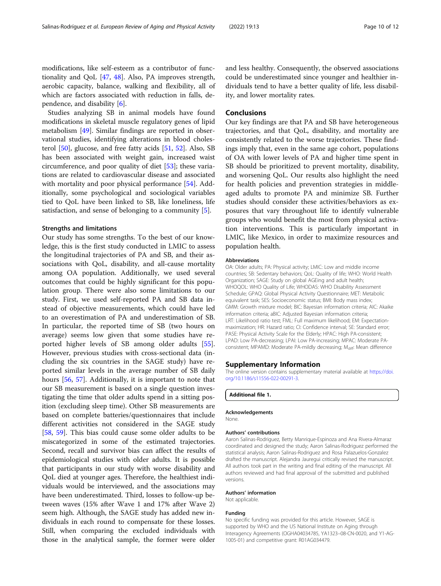<span id="page-9-0"></span>modifications, like self-esteem as a contributor of functionality and QoL [\[47,](#page-11-0) [48\]](#page-11-0). Also, PA improves strength, aerobic capacity, balance, walking and flexibility, all of which are factors associated with reduction in falls, dependence, and disability [[6\]](#page-10-0).

Studies analyzing SB in animal models have found modifications in skeletal muscle regulatory genes of lipid metabolism [[49\]](#page-11-0). Similar findings are reported in observational studies, identifying alterations in blood cholesterol [\[50\]](#page-11-0), glucose, and free fatty acids [[51,](#page-11-0) [52](#page-11-0)]. Also, SB has been associated with weight gain, increased waist circumference, and poor quality of diet [[53\]](#page-11-0); these variations are related to cardiovascular disease and associated with mortality and poor physical performance [\[54](#page-11-0)]. Additionally, some psychological and sociological variables tied to QoL have been linked to SB, like loneliness, life satisfaction, and sense of belonging to a community [\[5](#page-10-0)].

#### Strengths and limitations

Our study has some strengths. To the best of our knowledge, this is the first study conducted in LMIC to assess the longitudinal trajectories of PA and SB, and their associations with QoL, disability, and all-cause mortality among OA population. Additionally, we used several outcomes that could be highly significant for this population group. There were also some limitations to our study. First, we used self-reported PA and SB data instead of objective measurements, which could have led to an overestimation of PA and underestimation of SB. In particular, the reported time of SB (two hours on average) seems low given that some studies have reported higher levels of SB among older adults [\[55](#page-11-0)]. However, previous studies with cross-sectional data (including the six countries in the SAGE study) have reported similar levels in the average number of SB daily hours [[56,](#page-11-0) [57](#page-11-0)]. Additionally, it is important to note that our SB measurement is based on a single question investigating the time that older adults spend in a sitting position (excluding sleep time). Other SB measurements are based on complete batteries/questionnaires that include different activities not considered in the SAGE study [[58,](#page-11-0) [59\]](#page-11-0). This bias could cause some older adults to be miscategorized in some of the estimated trajectories. Second, recall and survivor bias can affect the results of epidemiological studies with older adults. It is possible that participants in our study with worse disability and QoL died at younger ages. Therefore, the healthiest individuals would be interviewed, and the associations may have been underestimated. Third, losses to follow-up between waves (15% after Wave 1 and 17% after Wave 2) seem high. Although, the SAGE study has added new individuals in each round to compensate for these losses. Still, when comparing the excluded individuals with those in the analytical sample, the former were older and less healthy. Consequently, the observed associations could be underestimated since younger and healthier individuals tend to have a better quality of life, less disability, and lower mortality rates.

## **Conclusions**

Our key findings are that PA and SB have heterogeneous trajectories, and that QoL, disability, and mortality are consistently related to the worse trajectories. These findings imply that, even in the same age cohort, populations of OA with lower levels of PA and higher time spent in SB should be prioritized to prevent mortality, disability, and worsening QoL. Our results also highlight the need for health policies and prevention strategies in middleaged adults to promote PA and minimize SB. Further studies should consider these activities/behaviors as exposures that vary throughout life to identify vulnerable groups who would benefit the most from physical activation interventions. This is particularly important in LMIC, like Mexico, in order to maximize resources and population health.

#### Abbreviations

OA: Older adults; PA: Physical activity; LMIC: Low and middle income countries; SB: Sedentary behaviors; QoL: Quality of life; WHO: World Health Organization; SAGE: Study on global AGEing and adult health; WHOQOL: WHO Quality of Life; WHODAS: WHO Disability Assessment Schedule; GPAQ: Global Physical Activity Questionnaire; MET: Metabolic equivalent task; SES: Socioeconomic status; BMI: Body mass index; GMM: Growth mixture model; BIC: Bayesian information criteria; AIC: Akaike information criteria; aBIC: Adjusted Bayesian information criteria; LRT: Likelihood ratio test; FML: Full maximum likelihood; EM: Expectationmaximization; HR: Hazard ratio; CI: Confidence interval; SE: Standard error; PASE: Physical Activity Scale for the Elderly; HPAC: High PA-consistent; LPAD: Low PA-decreasing; LPAI: Low PA-increasing; MPAC: Moderate PAconsistent; MPAMD: Moderate PA-mildly decreasing; M<sub>diff</sub>: Mean difference

#### Supplementary Information

The online version contains supplementary material available at [https://doi.](https://doi.org/10.1186/s11556-022-00291-3) [org/10.1186/s11556-022-00291-3.](https://doi.org/10.1186/s11556-022-00291-3)

Additional file 1.

#### Acknowledgements

None.

#### Authors' contributions

Aaron Salinas-Rodriguez, Betty Manrique-Espinoza and Ana Rivera-Almaraz coordinated and designed the study; Aaron Salinas-Rodriguez performed the statistical analysis; Aaron Salinas-Rodriguez and Rosa Palazuelos-Gonzalez drafted the manuscript. Alejandra Jauregui critically revised the manuscript. All authors took part in the writing and final editing of the manuscript. All authors reviewed and had final approval of the submitted and published versions.

#### Authors' information

Not applicable.

#### Funding

No specific funding was provided for this article. However, SAGE is supported by WHO and the US National Institute on Aging through Interagency Agreements (OGHA04034785, YA1323–08-CN-0020, and Y1-AG-1005-01) and competitive grant: R01AG034479.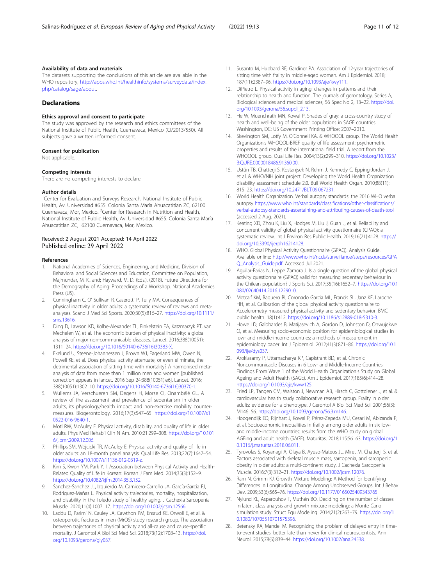## <span id="page-10-0"></span>Availability of data and materials

The datasets supporting the conclusions of this article are available in the WHO repository, [http://apps.who.int/healthinfo/systems/surveydata/index.](http://apps.who.int/healthinfo/systems/surveydata/index.php/catalog/sage/about) [php/catalog/sage/about.](http://apps.who.int/healthinfo/systems/surveydata/index.php/catalog/sage/about)

#### **Declarations**

#### Ethics approval and consent to participate

The study was approved by the research and ethics committees of the National Institute of Public Health, Cuernavaca, Mexico (CI/2013/550). All subjects gave a written informed consent.

#### Consent for publication

Not applicable.

#### Competing interests

There are no competing interests to declare.

#### Author details

<sup>1</sup>Center for Evaluation and Surveys Research, National Institute of Public Health, Av. Universidad #655. Colonia Santa María Ahuacatitlan ZC, 62100 Cuernavaca, Mor, Mexico. <sup>2</sup>Center for Research in Nutrition and Health, National Institute of Public Health, Av. Universidad #655. Colonia Santa María Ahuacatitlan ZC, 62100 Cuernavaca, Mor, Mexico.

## Received: 2 August 2021 Accepted: 14 April 2022 Published online: 29 April 2022

#### References

- 1. National Academies of Sciences, Engineering, and Medicine, Division of Behavioral and Social Sciences and Education, Committee on Population, Majmundar, M. K., and; Hayward, M. D. (Eds.). (2018). Future Directions for the Demography of Aging: Proceedings of a Workshop. National Academies Press (US).
- 2. Cunningham C. O' Sullivan R, Caserotti P, Tully MA. Consequences of physical inactivity in older adults: a systematic review of reviews and metaanalyses. Scand J Med Sci Sports. 2020;30(5):816–27. [https://doi.org/10.1111/](https://doi.org/10.1111/sms.13616) [sms.13616.](https://doi.org/10.1111/sms.13616)
- 3. Ding D, Lawson KD, Kolbe-Alexander TL, Finkelstein EA, Katzmarzyk PT, van Mechelen W, et al. The economic burden of physical inactivity: a global analysis of major non-communicable diseases. Lancet. 2016;388(10051): 1311–24. [https://doi.org/10.1016/S0140-6736\(16\)30383-X](https://doi.org/10.1016/S0140-6736(16)30383-X).
- 4. Ekelund U, Steene-Johannessen J, Brown WJ, Fagerland MW, Owen N, Powell KE, et al. Does physical activity attenuate, or even eliminate, the detrimental association of sitting time with mortality? A harmonised metaanalysis of data from more than 1 million men and women [published correction appears in lancet. 2016 Sep 24;388(10051):e6]. Lancet. 2016; 388(10051):1302–10. [https://doi.org/10.1016/S0140-6736\(16\)30370-1.](https://doi.org/10.1016/S0140-6736(16)30370-1.)
- 5. Wullems JA, Verschueren SM, Degens H, Morse CI, Onambélé GL. A review of the assessment and prevalence of sedentarism in older adults, its physiology/health impact and non-exercise mobility countermeasures. Biogerontology. 2016;17(3):547–65. [https://doi.org/10.1007/s1](https://doi.org/10.1007/s10522-016-9640-1) [0522-016-9640-1](https://doi.org/10.1007/s10522-016-9640-1).
- 6. Motl RW, McAuley E. Physical activity, disability, and quality of life in older adults. Phys Med Rehabil Clin N Am. 2010;21:299–308. [https://doi.org/10.101](https://doi.org/10.1016/j.pmr.2009.12.006) [6/j.pmr.2009.12.006](https://doi.org/10.1016/j.pmr.2009.12.006).
- 7. Phillips SM, Wójcicki TR, McAuley E. Physical activity and quality of life in older adults: an 18-month panel analysis. Qual Life Res. 2013;22(7):1647–54. [https://doi.org/10.1007/s11136-012-0319-z.](https://doi.org/10.1007/s11136-012-0319-z)
- Kim S, Kwon YM, Park Y. I. Association between Physical Activity and Health-Related Quality of Life in Korean: Korean J Fam Med. 2014;35(3):152–9. [https://doi.org/10.4082/kjfm.2014.35.3.152.](https://doi.org/10.4082/kjfm.2014.35.3.152)
- 9. Sanchez-Sanchez JL, Izquierdo M, Carnicero-Carreño JA, García-García FJ, Rodríguez-Mañas L. Physical activity trajectories, mortality, hospitalization, and disability in the Toledo study of healthy aging. J Cachexia Sarcopenia Muscle. 2020;11(4):1007–17. [https://doi.org/10.1002/jcsm.12566.](https://doi.org/10.1002/jcsm.12566)
- 10. Laddu D, Parimi N, Cauley JA, Cawthon PM, Ensrud KE, Orwoll E, et al. & osteoporotic fractures in men (MrOS) study research group. The association between trajectories of physical activity and all-cause and cause-specific mortality. J Gerontol A Biol Sci Med Sci. 2018;73(12):1708–13. [https://doi.](https://doi.org/10.1093/gerona/gly037) [org/10.1093/gerona/gly037](https://doi.org/10.1093/gerona/gly037).
- 11. Susanto M, Hubbard RE, Gardiner PA. Association of 12-year trajectories of sitting time with frailty in middle-aged women. Am J Epidemiol. 2018; 187(11):2387–96. <https://doi.org/10.1093/aje/kwy111>.
- 12. DiPietro L. Physical activity in aging: changes in patterns and their relationship to health and function. The journals of gerontology. Series A, Biological sciences and medical sciences, 56 Spec No 2, 13–22. [https://doi.](https://doi.org/10.1093/gerona/56.suppl_2.13) [org/10.1093/gerona/56.suppl\\_2.13](https://doi.org/10.1093/gerona/56.suppl_2.13).
- 13. He W, Muenchrath MN, Kowal P. Shades of gray: a cross-country study of health and well-being of the older populations in SAGE countries. Washington, DC: US Government Printing Office; 2007–2010.
- 14. Skevington SM, Lotfy M, O'Connell KA. & WHOQOL group. The World Health Organization's WHOQOL-BREF quality of life assessment: psychometric properties and results of the international field trial. A report from the WHOQOL group. Qual Life Res. 2004;13(2):299–310. [https://doi.org/10.1023/](https://doi.org/10.1023/B:QURE.0000018486.91360.00) [B:QURE.0000018486.91360.00](https://doi.org/10.1023/B:QURE.0000018486.91360.00).
- 15. Ustün TB, Chatterji S, Kostanjsek N, Rehm J, Kennedy C, Epping-Jordan J, et al. & WHO/NIH joint project. Developing the World Health Organization disability assessment schedule 2.0. Bull World Health Organ. 2010;88(11): 815–23. [https://doi.org/10.2471/BLT.09.067231.](https://doi.org/10.2471/BLT.09.067231)
- 16. World Health Organization. Verbal autopsy standards: the 2016 WHO verbal autopsy [https://www.who.int/standards/classifications/other-classifications/](https://www.who.int/standards/classifications/other-classifications/verbal-autopsy-standards-ascertaining-and-attributing-causes-of-death-tool) [verbal-autopsy-standards-ascertaining-and-attributing-causes-of-death-tool](https://www.who.int/standards/classifications/other-classifications/verbal-autopsy-standards-ascertaining-and-attributing-causes-of-death-tool) (accessed 2 Aug. 2021).
- 17. Keating XD, Zhou K, Liu X, Hodges M, Liu J, Guan J, et al. Reliability and concurrent validity of global physical activity questionnaire (GPAQ): a systematic review. Int J Environ Res Public Health. 2019;16(21):4128. [https://](https://doi.org/10.3390/ijerph16214128) [doi.org/10.3390/ijerph16214128.](https://doi.org/10.3390/ijerph16214128)
- 18. WHO. Global Physical Activity Questionnaire (GPAQ). Analysis Guide. Available online: [http://www.who.int/ncds/surveillance/steps/resources/GPA](http://www.who.int/ncds/surveillance/steps/resources/GPAQ_Analysis_Guide.pdf) [Q\\_Analysis\\_Guide.pdf.](http://www.who.int/ncds/surveillance/steps/resources/GPAQ_Analysis_Guide.pdf) Accessed Jul 2021.
- 19. Aguilar-Farias N, Leppe Zamora J. Is a single question of the global physical activity questionnaire (GPAQ) valid for measuring sedentary behaviour in the Chilean population? J Sports Sci. 2017;35(16):1652–7. [https://doi.org/10.1](https://doi.org/10.1080/02640414.2016.1229010) [080/02640414.2016.1229010.](https://doi.org/10.1080/02640414.2016.1229010)
- 20. Metcalf KM, Baquero BI, Coronado Garcia ML, Francis SL, Janz KF, Laroche HH, et al. Calibration of the global physical activity questionnaire to Accelerometry measured physical activity and sedentary behavior. BMC public health. 18(1):412. [https://doi.org/10.1186/s12889-018-5310-3.](https://doi.org/10.1186/s12889-018-5310-3)
- 21. Howe LD, Galobardes B, Matijasevich A, Gordon D, Johnston D, Onwujekwe O, et al. Measuring socio-economic position for epidemiological studies in low- and middle-income countries: a methods of measurement in epidemiology paper. Int J Epidemiol. 2012;41(3):871–86. [https://doi.org/10.1](https://doi.org/10.1093/ije/dys037) [093/ije/dys037](https://doi.org/10.1093/ije/dys037).
- 22. Arokiasamy P, Uttamacharya KP, Capistrant BD, et al. Chronic Noncommunicable Diseases in 6 Low- and Middle-Income Countries: Findings From Wave 1 of the World Health Organization's Study on Global Ageing and Adult Health (SAGE). Am J Epidemiol. 2017;185(6):414–28. [https://doi.org/10.1093/aje/kww125.](https://doi.org/10.1093/aje/kww125)
- 23. Fried LP, Tangen CM, Walston J, Newman AB, Hirsch C, Gottdiener J, et al. & cardiovascular health study collaborative research group. Frailty in older adults: evidence for a phenotype. J Gerontol A Biol Sci Med Sci. 2001;56(3): M146–56. [https://doi.org/10.1093/gerona/56.3.m146.](https://doi.org/10.1093/gerona/56.3.m146)
- 24. Hoogendijk EO, Rijnhart J, Kowal P, Pérez-Zepeda MU, Cesari M, Abizanda P, et al. Socioeconomic inequalities in frailty among older adults in six lowand middle-income countries: results from the WHO study on global AGEing and adult health (SAGE). Maturitas. 2018;115:56–63. [https://doi.org/1](https://doi.org/10.1016/j.maturitas.2018.06.011) [0.1016/j.maturitas.2018.06.011.](https://doi.org/10.1016/j.maturitas.2018.06.011)
- 25. Tyrovolas S, Koyanagi A, Olaya B, Ayuso-Mateos JL, Miret M, Chatterji S, et al. Factors associated with skeletal muscle mass, sarcopenia, and sarcopenic obesity in older adults: a multi-continent study. J Cachexia Sarcopenia Muscle. 2016;7(3):312–21. [https://doi.org/10.1002/jcsm.12076.](https://doi.org/10.1002/jcsm.12076)
- 26. Ram N, Grimm KJ. Growth Mixture Modeling: A Method for Identifying Differences in Longitudinal Change Among Unobserved Groups. Int J Behav Dev. 2009;33(6):565–76. <https://doi.org/10.1177/0165025409343765>.
- 27. Nylund KL, Asparouhov T, Muthén BO. Deciding on the number of classes in latent class analysis and growth mixture modeling: a Monte Carlo simulation study. Struct Equ Modeling. 2014;21(2):263–79. [https://doi.org/1](https://doi.org/10.1080/10705510701575396) [0.1080/10705510701575396](https://doi.org/10.1080/10705510701575396).
- 28. Betensky RA, Mandel M. Recognizing the problem of delayed entry in timeto-event studies: better late than never for clinical neuroscientists. Ann Neurol. 2015;78(6):839–44. [https://doi.org/10.1002/ana.24538.](https://doi.org/10.1002/ana.24538)